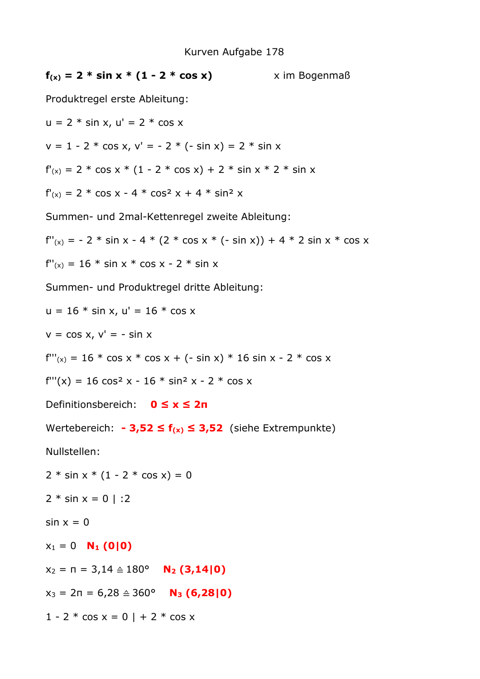$f(x) = 2 * \sin x * (1 - 2 * \cos x)$  x im Bogenmaß Produktregel erste Ableitung:  $u = 2 * sin x$ ,  $u' = 2 * cos x$  $v = 1 - 2 * \cos x$ ,  $v' = -2 * (- \sin x) = 2 * \sin x$  $f'(x) = 2 * \cos x * (1 - 2 * \cos x) + 2 * \sin x * 2 * \sin x$  $f'(x) = 2 * \cos x - 4 * \cos^2 x + 4 * \sin^2 x$ Summen- und 2mal-Kettenregel zweite Ableitung:  $f''(x) = -2 * \sin x - 4 * (2 * \cos x * (- \sin x)) + 4 * 2 \sin x * \cos x$  $f''(x) = 16 * sin x * cos x - 2 * sin x$ Summen- und Produktregel dritte Ableitung:  $u = 16 * sin x$ ,  $u' = 16 * cos x$  $v = \cos x$ ,  $v' = -\sin x$  $f''(x) = 16 * \cos x * \cos x + (- \sin x) * 16 \sin x - 2 * \cos x$  $f'''(x) = 16 \cos^2 x - 16 \cdot \sin^2 x - 2 \cdot \cos x$ Definitionsbereich: **0 ≤ x ≤ 2π**  Wertebereich: **- 3,52 ≤ f(x) ≤ 3,52** (siehe Extrempunkte) Nullstellen:  $2 * sin x * (1 - 2 * cos x) = 0$  $2 * sin x = 0$  | :2  $sin x = 0$  $x_1 = 0$  **N<sub>1</sub>** (0|0)  $x_2 = \pi = 3,14 \triangleq 180^\circ$  **N<sub>2</sub>** (3,14|0)  $x_3 = 2\pi = 6{,}28 \triangleq 360^\circ$  **N<sub>3</sub> (6,28|0)**  $1 - 2 * \cos x = 0 + 2 * \cos x$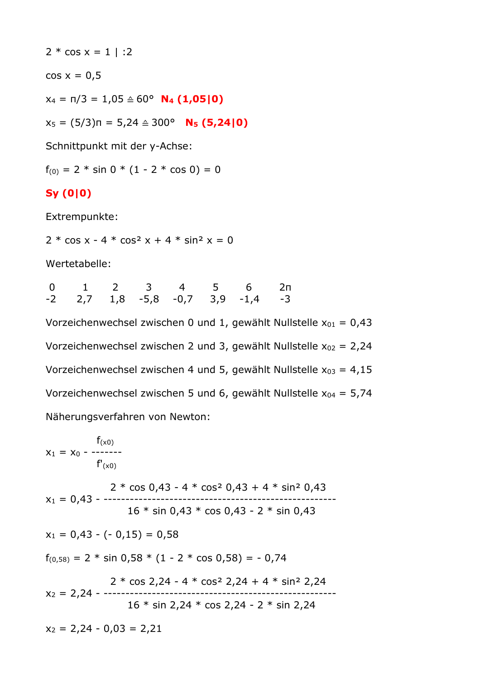$2 * cos x = 1$  | :2

 $cos x = 0.5$ 

 $x_4 = \pi/3 = 1.05 \hat{=} 60^\circ$  **N<sub>4</sub> (1,05|0)** 

x5 = (5/3)π = 5,24 ≙ 300° **N5 (5,24|0)**

Schnittpunkt mit der y-Achse:

 $f_{(0)} = 2 * sin 0 * (1 - 2 * cos 0) = 0$ 

## **Sy (0|0)**

Extrempunkte:

 $2 * \cos x - 4 * \cos^2 x + 4 * \sin^2 x = 0$ 

Wertetabelle:

|  |  |  | 0 1 2 3 4 5 6 2                            |  |
|--|--|--|--------------------------------------------|--|
|  |  |  | $-2$ 2,7 1,8 $-5,8$ $-0,7$ 3,9 $-1,4$ $-3$ |  |

Vorzeichenwechsel zwischen 0 und 1, gewählt Nullstelle  $x_{01} = 0.43$ Vorzeichenwechsel zwischen 2 und 3, gewählt Nullstelle  $x_{02} = 2,24$ Vorzeichenwechsel zwischen 4 und 5, gewählt Nullstelle  $x_{03} = 4,15$ Vorzeichenwechsel zwischen 5 und 6, gewählt Nullstelle  $x_{04} = 5.74$ Näherungsverfahren von Newton:

 $f(x_0)$  $x_1 = x_0 - \cdots$  $f'(x_0)$  $2 * cos 0,43 - 4 * cos<sup>2</sup> 0,43 + 4 * sin<sup>2</sup> 0,43$  $x_1 = 0.43 - \cdots$  16 \* sin 0,43 \* cos 0,43 - 2 \* sin 0,43  $x_1 = 0.43 - (-0.15) = 0.58$  $f_{(0,58)} = 2 * \sin 0.58 * (1 - 2 * \cos 0.58) = -0.74$  $2 * \cos 2, 24 - 4 * \cos^2 2, 24 + 4 * \sin^2 2, 24$ x2 = 2,24 - ----------------------------------------------------- 16 \* sin 2,24 \* cos 2,24 - 2 \* sin 2,24  $x_2 = 2.24 - 0.03 = 2.21$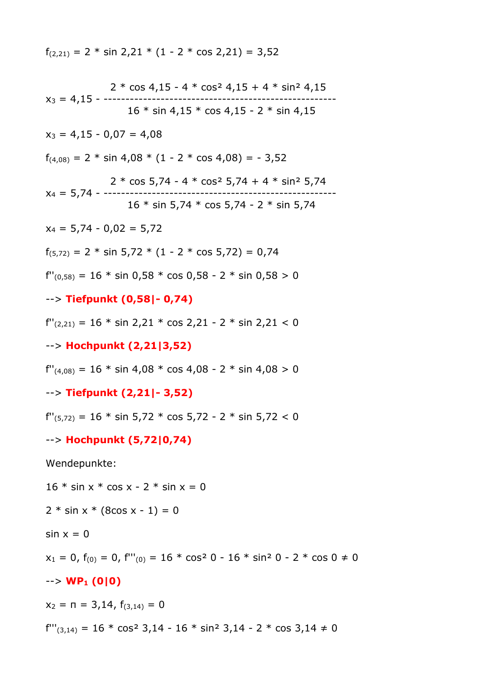$f_{(2,21)} = 2 * sin 2,21 * (1 - 2 * cos 2,21) = 3,52$ 

2 \* cos 4,15 - 4 \* cos<sup>2</sup> 4,15 + 4 \* sin<sup>2</sup> 4,15  
\n16 \* sin 4,15 \* cos 4,15 - 2 \* sin 4,15  
\n16 \* sin 4,15 \* cos 4,15 - 2 \* sin 4,15  
\n2<sup>1</sup> cos 5,74 - 4 \* cos<sup>2</sup> 5,74 + 4 \* sin<sup>2</sup> 5,74  
\n2 \* cos 5,74 - 4 \* cos<sup>2</sup> 5,74 + 4 \* sin<sup>2</sup> 5,74  
\n2 \* cos 5,74 - 4 \* cos<sup>2</sup> 5,74 + 4 \* sin<sup>2</sup> 5,74  
\n2 \* cos 5,74 - 4 \* cos<sup>2</sup> 5,74 + 4 \* sin<sup>2</sup> 5,74  
\n2 \* sin 5,74 \* cos 5,74 - 2 \* sin 5,74  
\n2 \* sin 5,74 \* cos 5,74 - 2 \* sin 5,74  
\n2 \* sin 5,74 \* cos 5,74 - 2 \* sin 5,74  
\n
$$
f'(0,58) = 16 * sin 0,58 * cos 0,58 - 2 * sin 0,58 > 0
$$
  
\n $\longrightarrow$  **Tiefpunkt (0,58|-0,74)**  
\n $f'(2,21) = 16 * sin 2,21 * cos 2,21 - 2 * sin 2,21 < 0$   
\n $\longrightarrow$  **Hochpunkt (2,21|3,52)**  
\n $f''(4,08) = 16 * sin 4,08 * cos 4,08 - 2 * sin 4,08 > 0$   
\n $\longrightarrow$  **Tiefpunkt (2,21|-3,52)**  
\n $f''(5,72) = 16 * sin 5,72 * cos 5,72 - 2 * sin 5,72 < 0$   
\n $\longrightarrow$  **Hochpunkt (5,72|0,74)**  
\nWendepunkte:  
\n16 \* sin x \* cos x - 2 \* sin x = 0  
\n2 \* sin x \* (8cos x - 1) = 0  
\nsin x = 0  
\n2x = 0, f(0) = 0, f'''(0) = 16 \* cos<sup>2</sup> 0 - 16